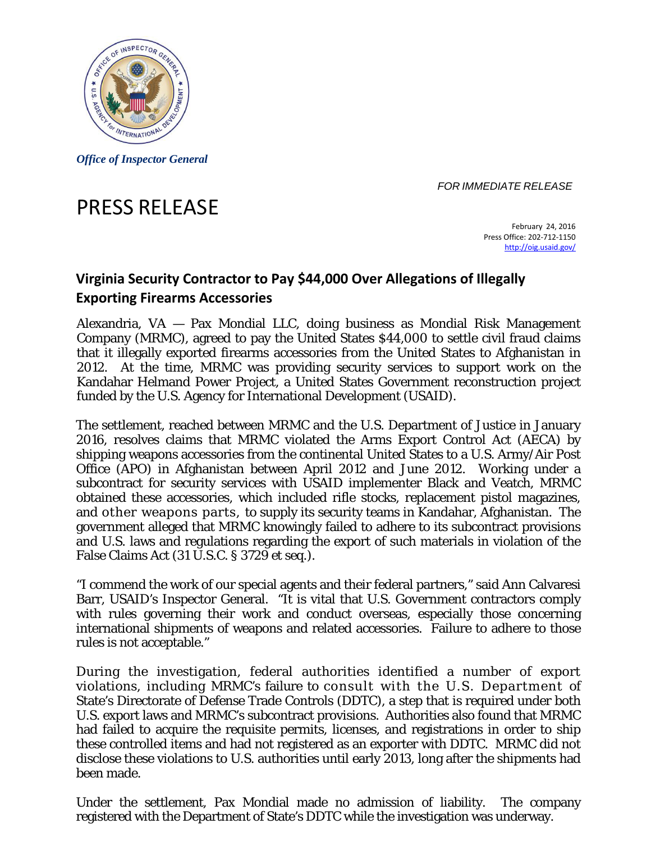

*Office of Inspector General* 

*FOR IMMEDIATE RELEASE* 

## PRESS RELEASE

 February 24, 2016 Press Office: 202‐712‐1150 http://oig.usaid.gov/

## **Virginia Security Contractor to Pay \$44,000 Over Allegations of Illegally Exporting Firearms Accessories**

Alexandria, VA — Pax Mondial LLC, doing business as Mondial Risk Management Company (MRMC), agreed to pay the United States \$44,000 to settle civil fraud claims that it illegally exported firearms accessories from the United States to Afghanistan in 2012. At the time, MRMC was providing security services to support work on the Kandahar Helmand Power Project, a United States Government reconstruction project funded by the U.S. Agency for International Development (USAID).

The settlement, reached between MRMC and the U.S. Department of Justice in January 2016, resolves claims that MRMC violated the Arms Export Control Act (AECA) by shipping weapons accessories from the continental United States to a U.S. Army/Air Post Office (APO) in Afghanistan between April 2012 and June 2012. Working under a subcontract for security services with USAID implementer Black and Veatch, MRMC obtained these accessories, which included rifle stocks, replacement pistol magazines, and other weapons parts, to supply its security teams in Kandahar, Afghanistan. The government alleged that MRMC knowingly failed to adhere to its subcontract provisions and U.S. laws and regulations regarding the export of such materials in violation of the False Claims Act (31 U.S.C. § 3729 *et seq.*).

"I commend the work of our special agents and their federal partners," said Ann Calvaresi Barr, USAID's Inspector General. "It is vital that U.S. Government contractors comply with rules governing their work and conduct overseas, especially those concerning international shipments of weapons and related accessories. Failure to adhere to those rules is not acceptable."

 violations, including MRMC's failure to consult with the U.S. Department of During the investigation, federal authorities identified a number of export State's Directorate of Defense Trade Controls (DDTC), a step that is required under both U.S. export laws and MRMC's subcontract provisions. Authorities also found that MRMC had failed to acquire the requisite permits, licenses, and registrations in order to ship these controlled items and had not registered as an exporter with DDTC. MRMC did not disclose these violations to U.S. authorities until early 2013, long after the shipments had been made.

Under the settlement, Pax Mondial made no admission of liability. The company registered with the Department of State's DDTC while the investigation was underway.